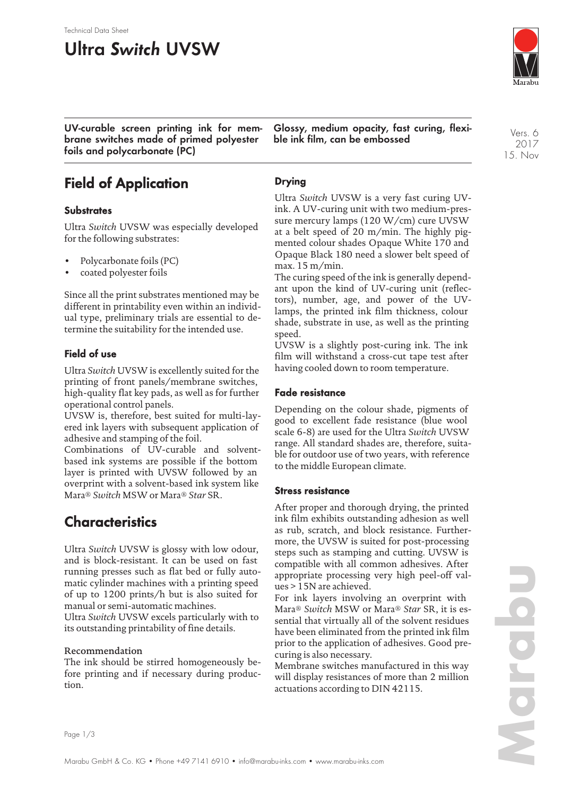#### Technical Data Sheet

# **Ultra Switch UVSW**



**UV-curable screen printing ink for membrane switches made of primed polyester foils and polycarbonate (PC)**

**Glossy, medium opacity, fast curing, flexible ink film, can be embossed**

Vers. 6 2017 15. Nov

# **Field of Application**

### **Substrates**

Ultra *Switch* UVSW was especially developed for the following substrates:

- Polycarbonate foils (PC)
- coated polyester foils

Since all the print substrates mentioned may be different in printability even within an individual type, preliminary trials are essential to determine the suitability for the intended use.

### **Field of use**

Ultra *Switch* UVSW is excellently suited for the printing of front panels/membrane switches, high-quality flat key pads, as well as for further operational control panels.

UVSW is, therefore, best suited for multi-layered ink layers with subsequent application of adhesive and stamping of the foil.

Combinations of UV-curable and solventbased ink systems are possible if the bottom layer is printed with UVSW followed by an overprint with a solvent-based ink system like Mara® *Switch* MSW or Mara® *Star* SR.

### **Characteristics**

Ultra *Switch* UVSW is glossy with low odour, and is block-resistant. It can be used on fast running presses such as flat bed or fully automatic cylinder machines with a printing speed of up to 1200 prints/h but is also suited for manual or semi-automatic machines.

Ultra *Switch* UVSW excels particularly with to its outstanding printability of fine details.

### Recommendation

The ink should be stirred homogeneously before printing and if necessary during production.

### **Drying**

Ultra *Switch* UVSW is a very fast curing UVink. A UV-curing unit with two medium-pressure mercury lamps (120 W/cm) cure UVSW at a belt speed of 20 m/min. The highly pigmented colour shades Opaque White 170 and Opaque Black 180 need a slower belt speed of max. 15 m/min.

The curing speed of the ink is generally dependant upon the kind of UV-curing unit (reflectors), number, age, and power of the UVlamps, the printed ink film thickness, colour shade, substrate in use, as well as the printing speed.

UVSW is a slightly post-curing ink. The ink film will withstand a cross-cut tape test after having cooled down to room temperature.

### **Fade resistance**

Depending on the colour shade, pigments of good to excellent fade resistance (blue wool scale 6-8) are used for the Ultra *Switch* UVSW range. All standard shades are, therefore, suitable for outdoor use of two years, with reference to the middle European climate.

### **Stress resistance**

After proper and thorough drying, the printed ink film exhibits outstanding adhesion as well as rub, scratch, and block resistance. Furthermore, the UVSW is suited for post-processing steps such as stamping and cutting. UVSW is compatible with all common adhesives. After appropriate processing very high peel-off values > 15N are achieved.

For ink layers involving an overprint with Mara® *Switch* MSW or Mara® *Star* SR, it is essential that virtually all of the solvent residues have been eliminated from the printed ink film prior to the application of adhesives. Good precuring is also necessary.

Membrane switches manufactured in this way will display resistances of more than 2 million actuations according to DIN 42115.

Page 1/3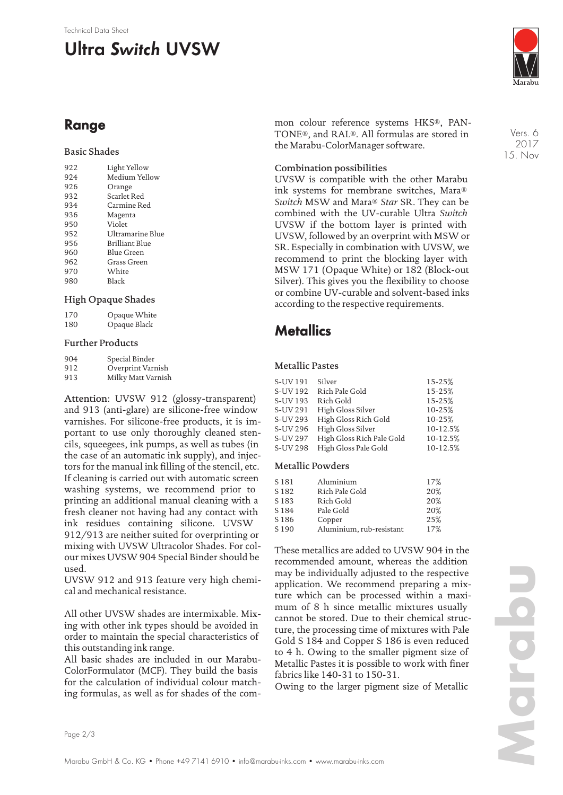#### Technical Data Sheet

# **Ultra Switch UVSW**



Vers. 6 2017

**Range**

### Basic Shades

| 922 | Light Yellow          |
|-----|-----------------------|
| 924 | Medium Yellow         |
| 926 | Orange                |
| 932 | Scarlet Red           |
| 934 | Carmine Red           |
| 936 | Magenta               |
| 950 | Violet                |
| 952 | Ultramarine Blue      |
| 956 | <b>Brilliant Blue</b> |
| 960 | Blue Green            |
| 962 | Grass Green           |
| 970 | White                 |
| 980 | Black                 |
|     |                       |

### High Opaque Shades

| 170 | Opaque White |
|-----|--------------|
| 180 | Opaque Black |

### Further Products

| 904 | Special Binder     |
|-----|--------------------|
| 912 | Overprint Varnish  |
| 913 | Milky Matt Varnish |

Attention: UVSW 912 (glossy-transparent) and 913 (anti-glare) are silicone-free window varnishes. For silicone-free products, it is important to use only thoroughly cleaned stencils, squeegees, ink pumps, as well as tubes (in the case of an automatic ink supply), and injectors for the manual ink filling of the stencil, etc. If cleaning is carried out with automatic screen washing systems, we recommend prior to printing an additional manual cleaning with a fresh cleaner not having had any contact with ink residues containing silicone. UVSW 912/913 are neither suited for overprinting or mixing with UVSW Ultracolor Shades. For colour mixes UVSW 904 Special Binder should be used.

UVSW 912 and 913 feature very high chemical and mechanical resistance.

All other UVSW shades are intermixable. Mixing with other ink types should be avoided in order to maintain the special characteristics of this outstanding ink range.

All basic shades are included in our Marabu-ColorFormulator (MCF). They build the basis for the calculation of individual colour matching formulas, as well as for shades of the common colour reference systems HKS®, PAN-TONE®, and RAL®. All formulas are stored in the Marabu-ColorManager software.

15. Nov

### Combination possibilities

UVSW is compatible with the other Marabu ink systems for membrane switches, Mara® *Switch* MSW and Mara® *Star* SR. They can be combined with the UV-curable Ultra *Switch* UVSW if the bottom layer is printed with UVSW, followed by an overprint with MSW or SR. Especially in combination with UVSW, we recommend to print the blocking layer with MSW 171 (Opaque White) or 182 (Block-out Silver). This gives you the flexibility to choose or combine UV-curable and solvent-based inks according to the respective requirements.

### **Metallics**

### Metallic Pastes

| S-UV 191 | Silver                    | 15-25%   |
|----------|---------------------------|----------|
| S-UV 192 | Rich Pale Gold            | 15-25%   |
| S-UV 193 | Rich Gold                 | 15-25%   |
| S-UV 291 | High Gloss Silver         | 10-25%   |
| S-UV 293 | High Gloss Rich Gold      | 10-25%   |
| S-UV 296 | High Gloss Silver         | 10-12.5% |
| S-UV 297 | High Gloss Rich Pale Gold | 10-12.5% |
| S-UV 298 | High Gloss Pale Gold      | 10-12.5% |
|          |                           |          |

### Metallic Powders

| S <sub>181</sub> | Aluminium                | 17% |
|------------------|--------------------------|-----|
| S <sub>182</sub> | Rich Pale Gold           | 20% |
| S <sub>183</sub> | Rich Gold                | 20% |
| S <sub>184</sub> | Pale Gold                | 20% |
| S <sub>186</sub> | Copper                   | 25% |
| S <sub>190</sub> | Aluminium, rub-resistant | 17% |
|                  |                          |     |

These metallics are added to UVSW 904 in the recommended amount, whereas the addition may be individually adjusted to the respective application. We recommend preparing a mixture which can be processed within a maximum of 8 h since metallic mixtures usually cannot be stored. Due to their chemical structure, the processing time of mixtures with Pale Gold S 184 and Copper S 186 is even reduced to 4 h. Owing to the smaller pigment size of Metallic Pastes it is possible to work with finer fabrics like 140-31 to 150-31.

Owing to the larger pigment size of Metallic